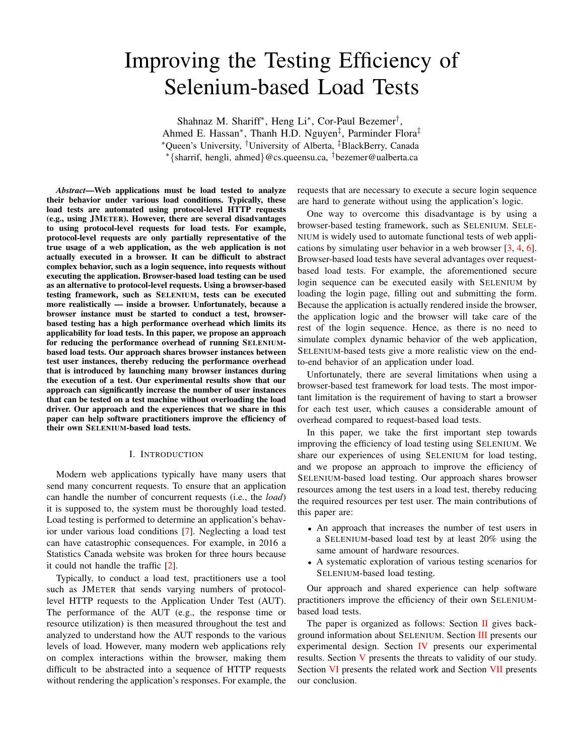# Improving the Testing Efficiency of Selenium-based Load Tests

Shahnaz M. Shariff<sup>\*</sup>, Heng Li<sup>\*</sup>, Cor-Paul Bezemer<sup>†</sup>, Ahmed E. Hassan<sup>\*</sup>, Thanh H.D. Nguyen<sup>‡</sup>, Parminder Flora<sup>‡</sup> ⇤Queen's University, *†*University of Alberta, *‡*BlackBerry, Canada ⇤*{*sharrif, hengli, ahmed*}*@cs.queensu.ca, *†*bezemer@ualberta.ca

*Abstract*—Web applications must be load tested to analyze their behavior under various load conditions. Typically, these load tests are automated using protocol-level HTTP requests (e.g., using JMETER). However, there are several disadvantages to using protocol-level requests for load tests. For example, protocol-level requests are only partially representative of the true usage of a web application, as the web application is not actually executed in a browser. It can be difficult to abstract complex behavior, such as a login sequence, into requests without executing the application. Browser-based load testing can be used as an alternative to protocol-level requests. Using a browser-based testing framework, such as SELENIUM, tests can be executed more realistically — inside a browser. Unfortunately, because a browser instance must be started to conduct a test, browserbased testing has a high performance overhead which limits its applicability for load tests. In this paper, we propose an approach for reducing the performance overhead of running SELENIUMbased load tests. Our approach shares browser instances between test user instances, thereby reducing the performance overhead that is introduced by launching many browser instances during the execution of a test. Our experimental results show that our approach can significantly increase the number of user instances that can be tested on a test machine without overloading the load driver. Our approach and the experiences that we share in this paper can help software practitioners improve the efficiency of their own SELENIUM-based load tests.

#### I. INTRODUCTION

Modern web applications typically have many users that send many concurrent requests. To ensure that an application can handle the number of concurrent requests (i.e., the *load*) it is supposed to, the system must be thoroughly load tested. Load testing is performed to determine an application's behavior under various load conditions [7]. Neglecting a load test can have catastrophic consequences. For example, in 2016 a Statistics Canada website was broken for three hours because it could not handle the traffic [2].

Typically, to conduct a load test, practitioners use a tool such as JMETER that sends varying numbers of protocollevel HTTP requests to the Application Under Test (AUT). The performance of the AUT (e.g., the response time or resource utilization) is then measured throughout the test and analyzed to understand how the AUT responds to the various levels of load. However, many modern web applications rely on complex interactions within the browser, making them difficult to be abstracted into a sequence of HTTP requests without rendering the application's responses. For example, the requests that are necessary to execute a secure login sequence are hard to generate without using the application's logic.

One way to overcome this disadvantage is by using a browser-based testing framework, such as SELENIUM. SELE-NIUM is widely used to automate functional tests of web applications by simulating user behavior in a web browser [3, 4, 6]. Browser-based load tests have several advantages over requestbased load tests. For example, the aforementioned secure login sequence can be executed easily with SELENIUM by loading the login page, filling out and submitting the form. Because the application is actually rendered inside the browser, the application logic and the browser will take care of the rest of the login sequence. Hence, as there is no need to simulate complex dynamic behavior of the web application, SELENIUM-based tests give a more realistic view on the endto-end behavior of an application under load.

Unfortunately, there are several limitations when using a browser-based test framework for load tests. The most important limitation is the requirement of having to start a browser for each test user, which causes a considerable amount of overhead compared to request-based load tests.

In this paper, we take the first important step towards improving the efficiency of load testing using SELENIUM. We share our experiences of using SELENIUM for load testing, and we propose an approach to improve the efficiency of SELENIUM-based load testing. Our approach shares browser resources among the test users in a load test, thereby reducing the required resources per test user. The main contributions of this paper are:

- *•* An approach that increases the number of test users in a SELENIUM-based load test by at least 20% using the same amount of hardware resources.
- *•* A systematic exploration of various testing scenarios for SELENIUM-based load testing.

Our approach and shared experience can help software practitioners improve the efficiency of their own SELENIUMbased load tests.

The paper is organized as follows: Section II gives background information about SELENIUM. Section III presents our experimental design. Section IV presents our experimental results. Section V presents the threats to validity of our study. Section VI presents the related work and Section VII presents our conclusion.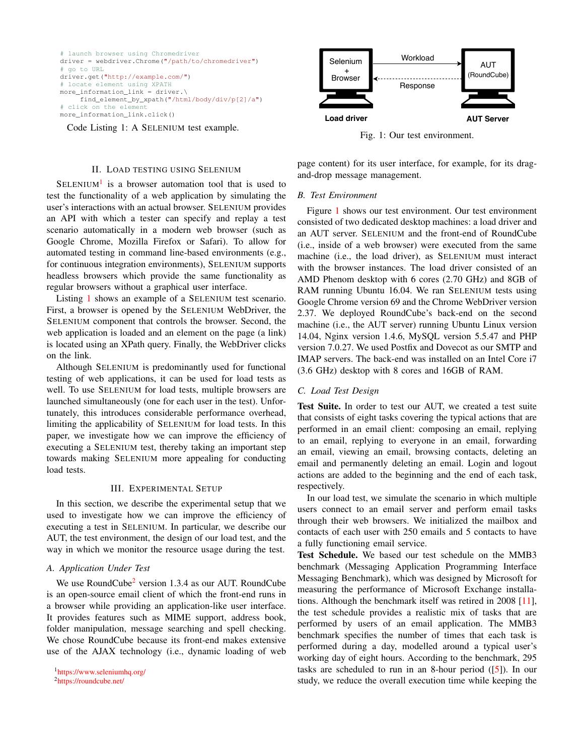```
# launch browser using Chromedriver
driver = webdriver.Chrome("/path/to/chromedriver")
# go to URL
driver.get("http://example.com/")
# locate element using XPATH
more_information_link = driver.\
     find_element_by_xpath("/html/body/div/p[2]/a")
# click on the element
more_information_link.click()
```
Code Listing 1: A SELENIUM test example.

#### II. LOAD TESTING USING SELENIUM

 $SELENIUM<sup>1</sup>$  is a browser automation tool that is used to test the functionality of a web application by simulating the user's interactions with an actual browser. SELENIUM provides an API with which a tester can specify and replay a test scenario automatically in a modern web browser (such as Google Chrome, Mozilla Firefox or Safari). To allow for automated testing in command line-based environments (e.g., for continuous integration environments), SELENIUM supports headless browsers which provide the same functionality as regular browsers without a graphical user interface.

Listing 1 shows an example of a SELENIUM test scenario. First, a browser is opened by the SELENIUM WebDriver, the SELENIUM component that controls the browser. Second, the web application is loaded and an element on the page (a link) is located using an XPath query. Finally, the WebDriver clicks on the link.

Although SELENIUM is predominantly used for functional testing of web applications, it can be used for load tests as well. To use SELENIUM for load tests, multiple browsers are launched simultaneously (one for each user in the test). Unfortunately, this introduces considerable performance overhead, limiting the applicability of SELENIUM for load tests. In this paper, we investigate how we can improve the efficiency of executing a SELENIUM test, thereby taking an important step towards making SELENIUM more appealing for conducting load tests.

#### III. EXPERIMENTAL SETUP

In this section, we describe the experimental setup that we used to investigate how we can improve the efficiency of executing a test in SELENIUM. In particular, we describe our AUT, the test environment, the design of our load test, and the way in which we monitor the resource usage during the test.

#### *A. Application Under Test*

We use RoundCube<sup>2</sup> version 1.3.4 as our AUT. RoundCube is an open-source email client of which the front-end runs in a browser while providing an application-like user interface. It provides features such as MIME support, address book, folder manipulation, message searching and spell checking. We chose RoundCube because its front-end makes extensive use of the AJAX technology (i.e., dynamic loading of web

2https://roundcube.net/



Fig. 1: Our test environment.

page content) for its user interface, for example, for its dragand-drop message management.

# *B. Test Environment*

Figure 1 shows our test environment. Our test environment consisted of two dedicated desktop machines: a load driver and an AUT server. SELENIUM and the front-end of RoundCube (i.e., inside of a web browser) were executed from the same machine (i.e., the load driver), as SELENIUM must interact with the browser instances. The load driver consisted of an AMD Phenom desktop with 6 cores (2.70 GHz) and 8GB of RAM running Ubuntu 16.04. We ran SELENIUM tests using Google Chrome version 69 and the Chrome WebDriver version 2.37. We deployed RoundCube's back-end on the second machine (i.e., the AUT server) running Ubuntu Linux version 14.04, Nginx version 1.4.6, MySQL version 5.5.47 and PHP version 7.0.27. We used Postfix and Dovecot as our SMTP and IMAP servers. The back-end was installed on an Intel Core i7 (3.6 GHz) desktop with 8 cores and 16GB of RAM.

#### *C. Load Test Design*

Test Suite. In order to test our AUT, we created a test suite that consists of eight tasks covering the typical actions that are performed in an email client: composing an email, replying to an email, replying to everyone in an email, forwarding an email, viewing an email, browsing contacts, deleting an email and permanently deleting an email. Login and logout actions are added to the beginning and the end of each task, respectively.

In our load test, we simulate the scenario in which multiple users connect to an email server and perform email tasks through their web browsers. We initialized the mailbox and contacts of each user with 250 emails and 5 contacts to have a fully functioning email service.

Test Schedule. We based our test schedule on the MMB3 benchmark (Messaging Application Programming Interface Messaging Benchmark), which was designed by Microsoft for measuring the performance of Microsoft Exchange installations. Although the benchmark itself was retired in 2008 [11], the test schedule provides a realistic mix of tasks that are performed by users of an email application. The MMB3 benchmark specifies the number of times that each task is performed during a day, modelled around a typical user's working day of eight hours. According to the benchmark, 295 tasks are scheduled to run in an 8-hour period  $(5)$ . In our study, we reduce the overall execution time while keeping the

<sup>1</sup>https://www.seleniumhq.org/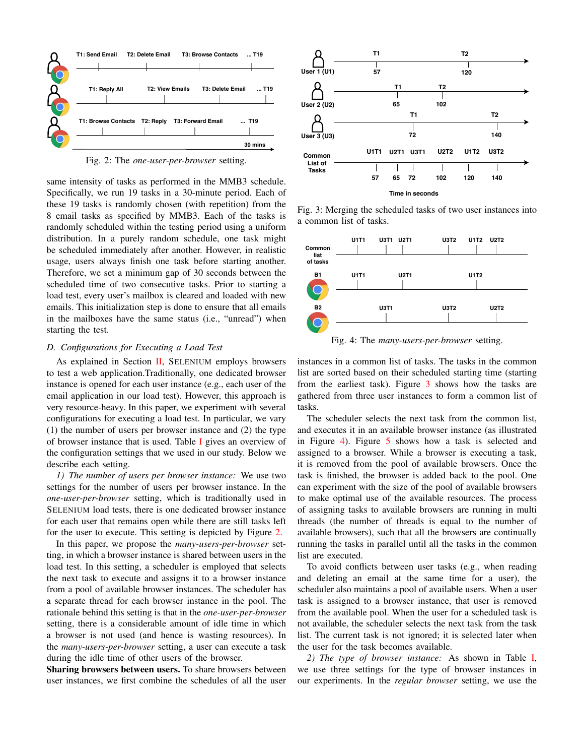

Fig. 2: The *one-user-per-browser* setting.

same intensity of tasks as performed in the MMB3 schedule. Specifically, we run 19 tasks in a 30-minute period. Each of these 19 tasks is randomly chosen (with repetition) from the 8 email tasks as specified by MMB3. Each of the tasks is randomly scheduled within the testing period using a uniform distribution. In a purely random schedule, one task might be scheduled immediately after another. However, in realistic usage, users always finish one task before starting another. Therefore, we set a minimum gap of 30 seconds between the scheduled time of two consecutive tasks. Prior to starting a load test, every user's mailbox is cleared and loaded with new emails. This initialization step is done to ensure that all emails in the mailboxes have the same status (i.e., "unread") when starting the test.

### *D. Configurations for Executing a Load Test*

As explained in Section II, SELENIUM employs browsers to test a web application.Traditionally, one dedicated browser instance is opened for each user instance (e.g., each user of the email application in our load test). However, this approach is very resource-heavy. In this paper, we experiment with several configurations for executing a load test. In particular, we vary (1) the number of users per browser instance and (2) the type of browser instance that is used. Table I gives an overview of the configuration settings that we used in our study. Below we describe each setting.

*1) The number of users per browser instance:* We use two settings for the number of users per browser instance. In the *one-user-per-browser* setting, which is traditionally used in SELENIUM load tests, there is one dedicated browser instance for each user that remains open while there are still tasks left for the user to execute. This setting is depicted by Figure 2.

In this paper, we propose the *many-users-per-browser* setting, in which a browser instance is shared between users in the load test. In this setting, a scheduler is employed that selects the next task to execute and assigns it to a browser instance from a pool of available browser instances. The scheduler has a separate thread for each browser instance in the pool. The rationale behind this setting is that in the *one-user-per-browser* setting, there is a considerable amount of idle time in which a browser is not used (and hence is wasting resources). In the *many-users-per-browser* setting, a user can execute a task during the idle time of other users of the browser.

Sharing browsers between users. To share browsers between user instances, we first combine the schedules of all the user



Fig. 3: Merging the scheduled tasks of two user instances into a common list of tasks.



Fig. 4: The *many-users-per-browser* setting.

instances in a common list of tasks. The tasks in the common list are sorted based on their scheduled starting time (starting from the earliest task). Figure 3 shows how the tasks are gathered from three user instances to form a common list of tasks.

The scheduler selects the next task from the common list, and executes it in an available browser instance (as illustrated in Figure 4). Figure 5 shows how a task is selected and assigned to a browser. While a browser is executing a task, it is removed from the pool of available browsers. Once the task is finished, the browser is added back to the pool. One can experiment with the size of the pool of available browsers to make optimal use of the available resources. The process of assigning tasks to available browsers are running in multi threads (the number of threads is equal to the number of available browsers), such that all the browsers are continually running the tasks in parallel until all the tasks in the common list are executed.

To avoid conflicts between user tasks (e.g., when reading and deleting an email at the same time for a user), the scheduler also maintains a pool of available users. When a user task is assigned to a browser instance, that user is removed from the available pool. When the user for a scheduled task is not available, the scheduler selects the next task from the task list. The current task is not ignored; it is selected later when the user for the task becomes available.

*2) The type of browser instance:* As shown in Table I, we use three settings for the type of browser instances in our experiments. In the *regular browser* setting, we use the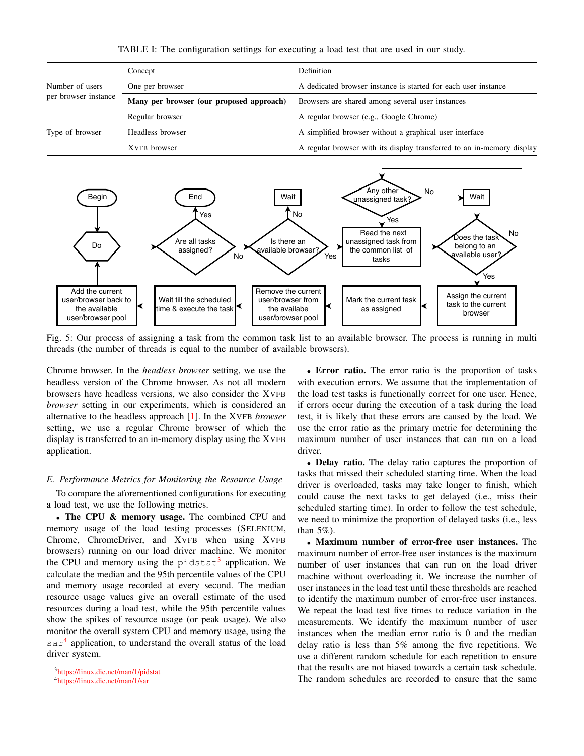|                      | Concept                                  | <b>Definition</b>                                                      |  |  |
|----------------------|------------------------------------------|------------------------------------------------------------------------|--|--|
| Number of users      | One per browser                          | A dedicated browser instance is started for each user instance         |  |  |
| per browser instance | Many per browser (our proposed approach) | Browsers are shared among several user instances                       |  |  |
| Type of browser      | Regular browser                          | A regular browser (e.g., Google Chrome)                                |  |  |
|                      | Headless browser                         | A simplified browser without a graphical user interface                |  |  |
|                      | XVFB browser                             | A regular browser with its display transferred to an in-memory display |  |  |

TABLE I: The configuration settings for executing a load test that are used in our study.



Fig. 5: Our process of assigning a task from the common task list to an available browser. The process is running in multi threads (the number of threads is equal to the number of available browsers).

Chrome browser. In the *headless browser* setting, we use the headless version of the Chrome browser. As not all modern browsers have headless versions, we also consider the XVFB *browser* setting in our experiments, which is considered an alternative to the headless approach [1]. In the XVFB *browser* setting, we use a regular Chrome browser of which the display is transferred to an in-memory display using the XVFB application.

#### *E. Performance Metrics for Monitoring the Resource Usage*

To compare the aforementioned configurations for executing a load test, we use the following metrics.

• The CPU & memory usage. The combined CPU and memory usage of the load testing processes (SELENIUM, Chrome, ChromeDriver, and XVFB when using XVFB browsers) running on our load driver machine. We monitor the CPU and memory using the pidstat<sup>3</sup> application. We calculate the median and the 95th percentile values of the CPU and memory usage recorded at every second. The median resource usage values give an overall estimate of the used resources during a load test, while the 95th percentile values show the spikes of resource usage (or peak usage). We also monitor the overall system CPU and memory usage, using the  $\text{sar}^4$  application, to understand the overall status of the load driver system.

• Error ratio. The error ratio is the proportion of tasks with execution errors. We assume that the implementation of the load test tasks is functionally correct for one user. Hence, if errors occur during the execution of a task during the load test, it is likely that these errors are caused by the load. We use the error ratio as the primary metric for determining the maximum number of user instances that can run on a load driver.

*•* Delay ratio. The delay ratio captures the proportion of tasks that missed their scheduled starting time. When the load driver is overloaded, tasks may take longer to finish, which could cause the next tasks to get delayed (i.e., miss their scheduled starting time). In order to follow the test schedule, we need to minimize the proportion of delayed tasks (i.e., less than 5%).

*•* Maximum number of error-free user instances. The maximum number of error-free user instances is the maximum number of user instances that can run on the load driver machine without overloading it. We increase the number of user instances in the load test until these thresholds are reached to identify the maximum number of error-free user instances. We repeat the load test five times to reduce variation in the measurements. We identify the maximum number of user instances when the median error ratio is 0 and the median delay ratio is less than 5% among the five repetitions. We use a different random schedule for each repetition to ensure that the results are not biased towards a certain task schedule. The random schedules are recorded to ensure that the same

<sup>3</sup>https://linux.die.net/man/1/pidstat

<sup>4</sup>https://linux.die.net/man/1/sar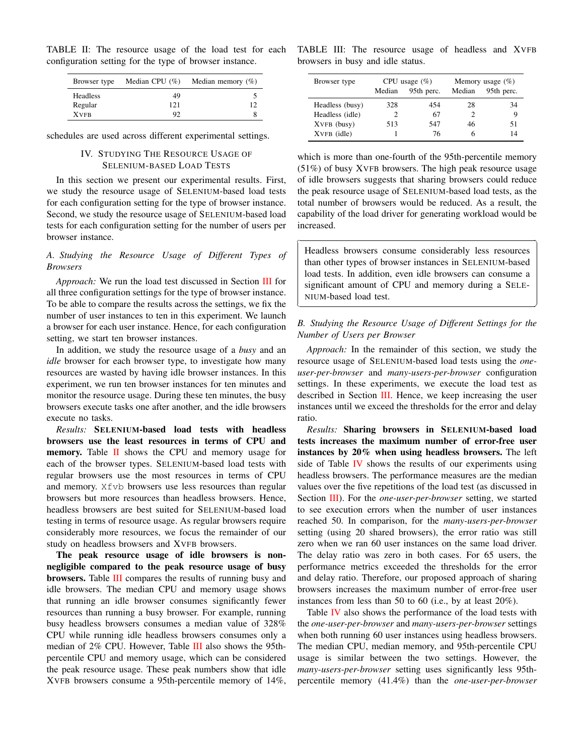TABLE II: The resource usage of the load test for each configuration setting for the type of browser instance.

| Browser type    | Median CPU $(\% )$ | Median memory $(\%)$ |  |
|-----------------|--------------------|----------------------|--|
| <b>Headless</b> | 49                 |                      |  |
| Regular         | 121                | 12                   |  |
| <b>XVFB</b>     | 92                 |                      |  |

schedules are used across different experimental settings.

### IV. STUDYING THE RESOURCE USAGE OF SELENIUM-BASED LOAD TESTS

In this section we present our experimental results. First, we study the resource usage of SELENIUM-based load tests for each configuration setting for the type of browser instance. Second, we study the resource usage of SELENIUM-based load tests for each configuration setting for the number of users per browser instance.

# *A. Studying the Resource Usage of Different Types of Browsers*

*Approach:* We run the load test discussed in Section III for all three configuration settings for the type of browser instance. To be able to compare the results across the settings, we fix the number of user instances to ten in this experiment. We launch a browser for each user instance. Hence, for each configuration setting, we start ten browser instances.

In addition, we study the resource usage of a *busy* and an *idle* browser for each browser type, to investigate how many resources are wasted by having idle browser instances. In this experiment, we run ten browser instances for ten minutes and monitor the resource usage. During these ten minutes, the busy browsers execute tasks one after another, and the idle browsers execute no tasks.

*Results:* SELENIUM-based load tests with headless browsers use the least resources in terms of CPU and memory. Table II shows the CPU and memory usage for each of the browser types. SELENIUM-based load tests with regular browsers use the most resources in terms of CPU and memory. Xfvb browsers use less resources than regular browsers but more resources than headless browsers. Hence, headless browsers are best suited for SELENIUM-based load testing in terms of resource usage. As regular browsers require considerably more resources, we focus the remainder of our study on headless browsers and XVFB browsers.

The peak resource usage of idle browsers is nonnegligible compared to the peak resource usage of busy browsers. Table III compares the results of running busy and idle browsers. The median CPU and memory usage shows that running an idle browser consumes significantly fewer resources than running a busy browser. For example, running busy headless browsers consumes a median value of 328% CPU while running idle headless browsers consumes only a median of 2% CPU. However, Table III also shows the 95thpercentile CPU and memory usage, which can be considered the peak resource usage. These peak numbers show that idle XVFB browsers consume a 95th-percentile memory of 14%,

TABLE III: The resource usage of headless and XVFB browsers in busy and idle status.

| Browser type    |                             | CPU usage $(\%)$ | Memory usage $(\% )$ |            |  |
|-----------------|-----------------------------|------------------|----------------------|------------|--|
|                 | Median                      | 95th perc.       | Median               | 95th perc. |  |
| Headless (busy) | 328                         | 454              | 28                   | 34         |  |
| Headless (idle) | $\mathcal{D}_{\mathcal{L}}$ | 67               |                      | 9          |  |
| XVFB (busy)     | 513                         | 547              | 46                   | 51         |  |
| XVFB (idle)     |                             | 76               |                      | 14         |  |

which is more than one-fourth of the 95th-percentile memory (51%) of busy XVFB browsers. The high peak resource usage of idle browsers suggests that sharing browsers could reduce the peak resource usage of SELENIUM-based load tests, as the total number of browsers would be reduced. As a result, the capability of the load driver for generating workload would be increased.

Headless browsers consume considerably less resources than other types of browser instances in SELENIUM-based load tests. In addition, even idle browsers can consume a significant amount of CPU and memory during a SELE-NIUM-based load test.

 $\overline{a}$ 

 $\overline{a}$ 

⇤

 $\overline{\phantom{0}}$ 

# *B. Studying the Resource Usage of Different Settings for the Number of Users per Browser*

*Approach:* In the remainder of this section, we study the resource usage of SELENIUM-based load tests using the *oneuser-per-browser* and *many-users-per-browser* configuration settings. In these experiments, we execute the load test as described in Section III. Hence, we keep increasing the user instances until we exceed the thresholds for the error and delay ratio.

*Results:* Sharing browsers in SELENIUM-based load tests increases the maximum number of error-free user instances by 20% when using headless browsers. The left side of Table IV shows the results of our experiments using headless browsers. The performance measures are the median values over the five repetitions of the load test (as discussed in Section III). For the *one-user-per-browser* setting, we started to see execution errors when the number of user instances reached 50. In comparison, for the *many-users-per-browser* setting (using 20 shared browsers), the error ratio was still zero when we ran 60 user instances on the same load driver. The delay ratio was zero in both cases. For 65 users, the performance metrics exceeded the thresholds for the error and delay ratio. Therefore, our proposed approach of sharing browsers increases the maximum number of error-free user instances from less than 50 to 60 (i.e., by at least 20%).

Table IV also shows the performance of the load tests with the *one-user-per-browser* and *many-users-per-browser* settings when both running 60 user instances using headless browsers. The median CPU, median memory, and 95th-percentile CPU usage is similar between the two settings. However, the *many-users-per-browser* setting uses significantly less 95thpercentile memory (41.4%) than the *one-user-per-browser*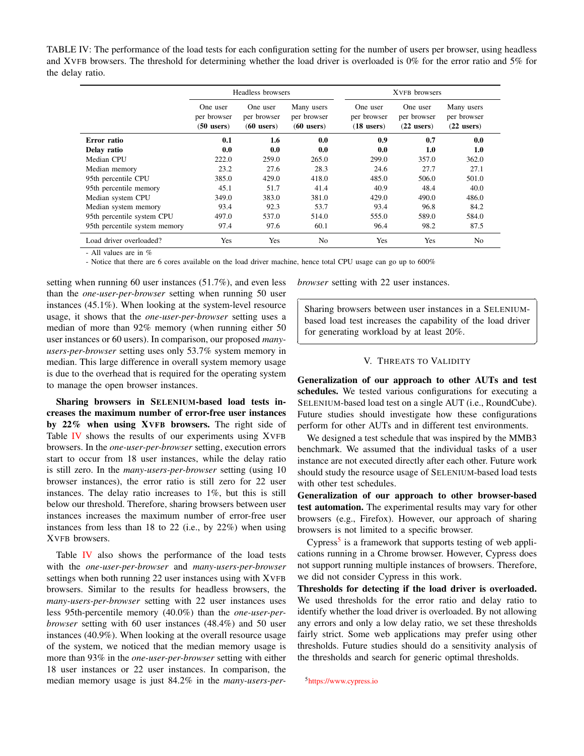TABLE IV: The performance of the load tests for each configuration setting for the number of users per browser, using headless and XVFB browsers. The threshold for determining whether the load driver is overloaded is 0% for the error ratio and 5% for the delay ratio.

|                               | Headless browsers                       |                                         |                                           | XVFB browsers                           |                                         |                                           |
|-------------------------------|-----------------------------------------|-----------------------------------------|-------------------------------------------|-----------------------------------------|-----------------------------------------|-------------------------------------------|
|                               | One user<br>per browser<br>$(50$ users) | One user<br>per browser<br>$(60$ users) | Many users<br>per browser<br>$(60$ users) | One user<br>per browser<br>$(18$ users) | One user<br>per browser<br>$(22$ users) | Many users<br>per browser<br>$(22$ users) |
| Error ratio                   | 0.1                                     | 1.6                                     | 0.0                                       | 0.9                                     | 0.7                                     | 0.0                                       |
| Delay ratio                   | 0.0                                     | 0.0                                     | 0.0                                       | 0.0                                     | 1.0                                     | 1.0                                       |
| Median CPU                    | 222.0                                   | 259.0                                   | 265.0                                     | 299.0                                   | 357.0                                   | 362.0                                     |
| Median memory                 | 23.2                                    | 27.6                                    | 28.3                                      | 24.6                                    | 27.7                                    | 27.1                                      |
| 95th percentile CPU           | 385.0                                   | 429.0                                   | 418.0                                     | 485.0                                   | 506.0                                   | 501.0                                     |
| 95th percentile memory        | 45.1                                    | 51.7                                    | 41.4                                      | 40.9                                    | 48.4                                    | 40.0                                      |
| Median system CPU             | 349.0                                   | 383.0                                   | 381.0                                     | 429.0                                   | 490.0                                   | 486.0                                     |
| Median system memory          | 93.4                                    | 92.3                                    | 53.7                                      | 93.4                                    | 96.8                                    | 84.2                                      |
| 95th percentile system CPU    | 497.0                                   | 537.0                                   | 514.0                                     | 555.0                                   | 589.0                                   | 584.0                                     |
| 95th percentile system memory | 97.4                                    | 97.6                                    | 60.1                                      | 96.4                                    | 98.2                                    | 87.5                                      |
| Load driver overloaded?       | Yes                                     | Yes                                     | N <sub>0</sub>                            | Yes                                     | Yes                                     | No                                        |

⇤

⇥

- All values are in %

- Notice that there are 6 cores available on the load driver machine, hence total CPU usage can go up to 600%

setting when running 60 user instances (51.7%), and even less than the *one-user-per-browser* setting when running 50 user instances (45.1%). When looking at the system-level resource usage, it shows that the *one-user-per-browser* setting uses a median of more than 92% memory (when running either 50 user instances or 60 users). In comparison, our proposed *manyusers-per-browser* setting uses only 53.7% system memory in median. This large difference in overall system memory usage is due to the overhead that is required for the operating system to manage the open browser instances.

Sharing browsers in SELENIUM-based load tests increases the maximum number of error-free user instances by 22% when using XVFB browsers. The right side of Table IV shows the results of our experiments using XVFB browsers. In the *one-user-per-browser* setting, execution errors start to occur from 18 user instances, while the delay ratio is still zero. In the *many-users-per-browser* setting (using 10 browser instances), the error ratio is still zero for 22 user instances. The delay ratio increases to 1%, but this is still below our threshold. Therefore, sharing browsers between user instances increases the maximum number of error-free user instances from less than 18 to 22 (i.e., by 22%) when using XVFB browsers.

Table IV also shows the performance of the load tests with the *one-user-per-browser* and *many-users-per-browser* settings when both running 22 user instances using with XVFB browsers. Similar to the results for headless browsers, the *many-users-per-browser* setting with 22 user instances uses less 95th-percentile memory (40.0%) than the *one-user-perbrowser* setting with 60 user instances (48.4%) and 50 user instances (40.9%). When looking at the overall resource usage of the system, we noticed that the median memory usage is more than 93% in the *one-user-per-browser* setting with either 18 user instances or 22 user instances. In comparison, the median memory usage is just 84.2% in the *many-users-per-* *browser* setting with 22 user instances.

Sharing browsers between user instances in a SELENIUMbased load test increases the capability of the load driver for generating workload by at least 20%.

 $\overline{a}$ 

 $\overline{a}$ 

#### V. THREATS TO VALIDITY

Generalization of our approach to other AUTs and test schedules. We tested various configurations for executing a SELENIUM-based load test on a single AUT (i.e., RoundCube). Future studies should investigate how these configurations perform for other AUTs and in different test environments.

We designed a test schedule that was inspired by the MMB3 benchmark. We assumed that the individual tasks of a user instance are not executed directly after each other. Future work should study the resource usage of SELENIUM-based load tests with other test schedules.

Generalization of our approach to other browser-based test automation. The experimental results may vary for other browsers (e.g., Firefox). However, our approach of sharing browsers is not limited to a specific browser.

Cypress<sup>5</sup> is a framework that supports testing of web applications running in a Chrome browser. However, Cypress does not support running multiple instances of browsers. Therefore, we did not consider Cypress in this work.

Thresholds for detecting if the load driver is overloaded. We used thresholds for the error ratio and delay ratio to identify whether the load driver is overloaded. By not allowing any errors and only a low delay ratio, we set these thresholds fairly strict. Some web applications may prefer using other thresholds. Future studies should do a sensitivity analysis of the thresholds and search for generic optimal thresholds.

5https://www.cypress.io